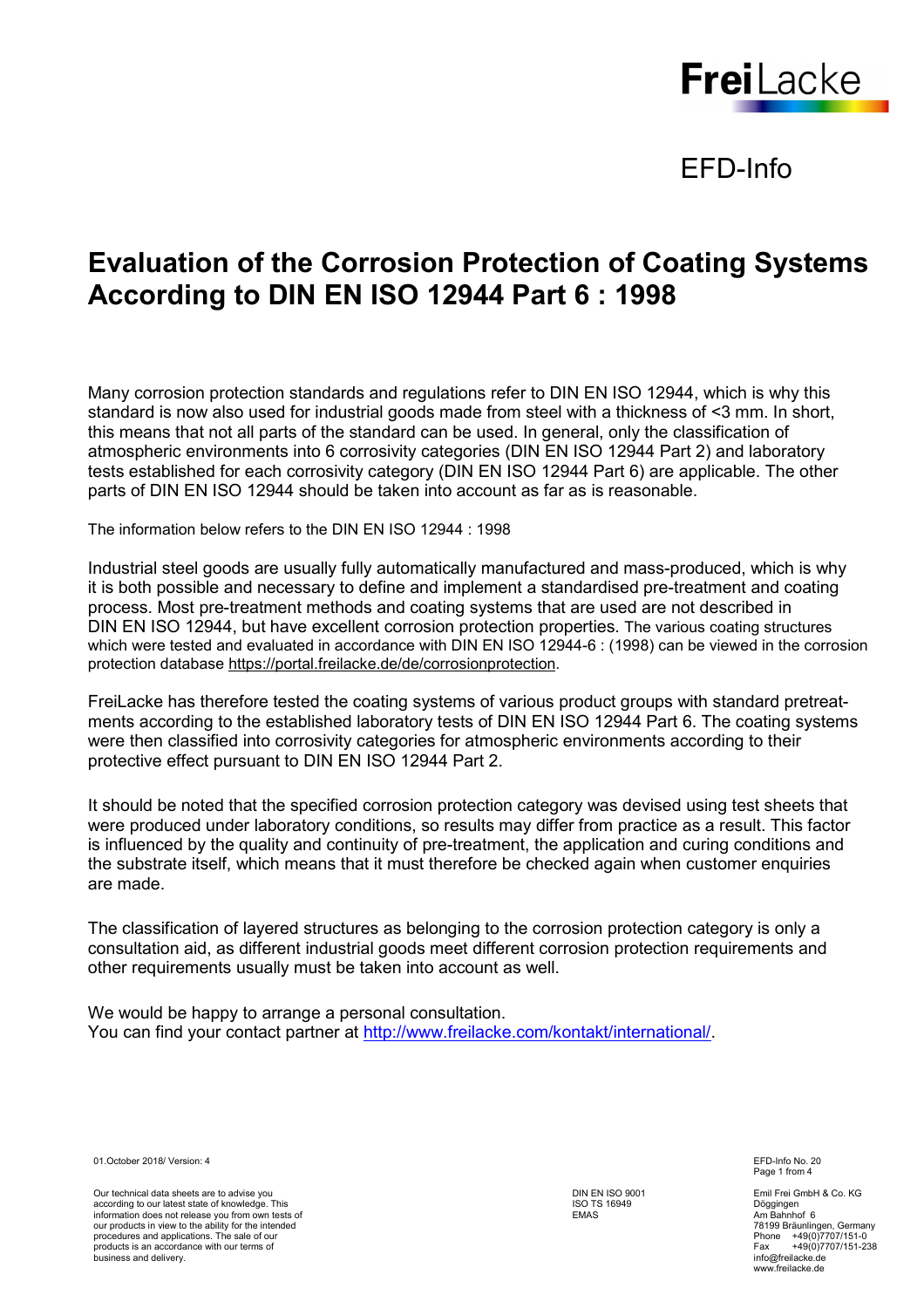

## EFD-Info

# **Evaluation of the Corrosion Protection of Coating Systems According to DIN EN ISO 12944 Part 6 : 1998**

Many corrosion protection standards and regulations refer to DIN EN ISO 12944, which is why this standard is now also used for industrial goods made from steel with a thickness of <3 mm. In short, this means that not all parts of the standard can be used. In general, only the classification of atmospheric environments into 6 corrosivity categories (DIN EN ISO 12944 Part 2) and laboratory tests established for each corrosivity category (DIN EN ISO 12944 Part 6) are applicable. The other parts of DIN EN ISO 12944 should be taken into account as far as is reasonable.

The information below refers to the DIN EN ISO 12944 : 1998

Industrial steel goods are usually fully automatically manufactured and mass-produced, which is why it is both possible and necessary to define and implement a standardised pre-treatment and coating process. Most pre-treatment methods and coating systems that are used are not described in DIN EN ISO 12944, but have excellent corrosion protection properties. The various coating structures which were tested and evaluated in accordance with DIN EN ISO 12944-6 : (1998) can be viewed in the corrosion protection database https://portal.freilacke.de/de/corrosionprotection.

FreiLacke has therefore tested the coating systems of various product groups with standard pretreatments according to the established laboratory tests of DIN EN ISO 12944 Part 6. The coating systems were then classified into corrosivity categories for atmospheric environments according to their protective effect pursuant to DIN EN ISO 12944 Part 2.

It should be noted that the specified corrosion protection category was devised using test sheets that were produced under laboratory conditions, so results may differ from practice as a result. This factor is influenced by the quality and continuity of pre-treatment, the application and curing conditions and the substrate itself, which means that it must therefore be checked again when customer enquiries are made.

The classification of layered structures as belonging to the corrosion protection category is only a consultation aid, as different industrial goods meet different corrosion protection requirements and other requirements usually must be taken into account as well.

We would be happy to arrange a personal consultation. You can find your contact partner at http://www.freilacke.com/kontakt/international/.

01.October 2018/ Version: 4 EFD-Info No. 20

Our technical data sheets are to advise you according to our latest state of knowledge. This information does not release you from own tests of our products in view to the ability for the intended procedures and applications. The sale of our products is an accordance with our terms of business and delivery.

DIN EN ISO 9001 ISO TS 16949 EMAS

Page 1 from 4

Emil Frei GmbH & Co. KG Döggingen Am Bahnhof 6 78199 Bräunlingen, Germany Phone +49(0)7707/151-0 Fax +49(0)7707/151-238 info@freilacke.de www.freilacke.de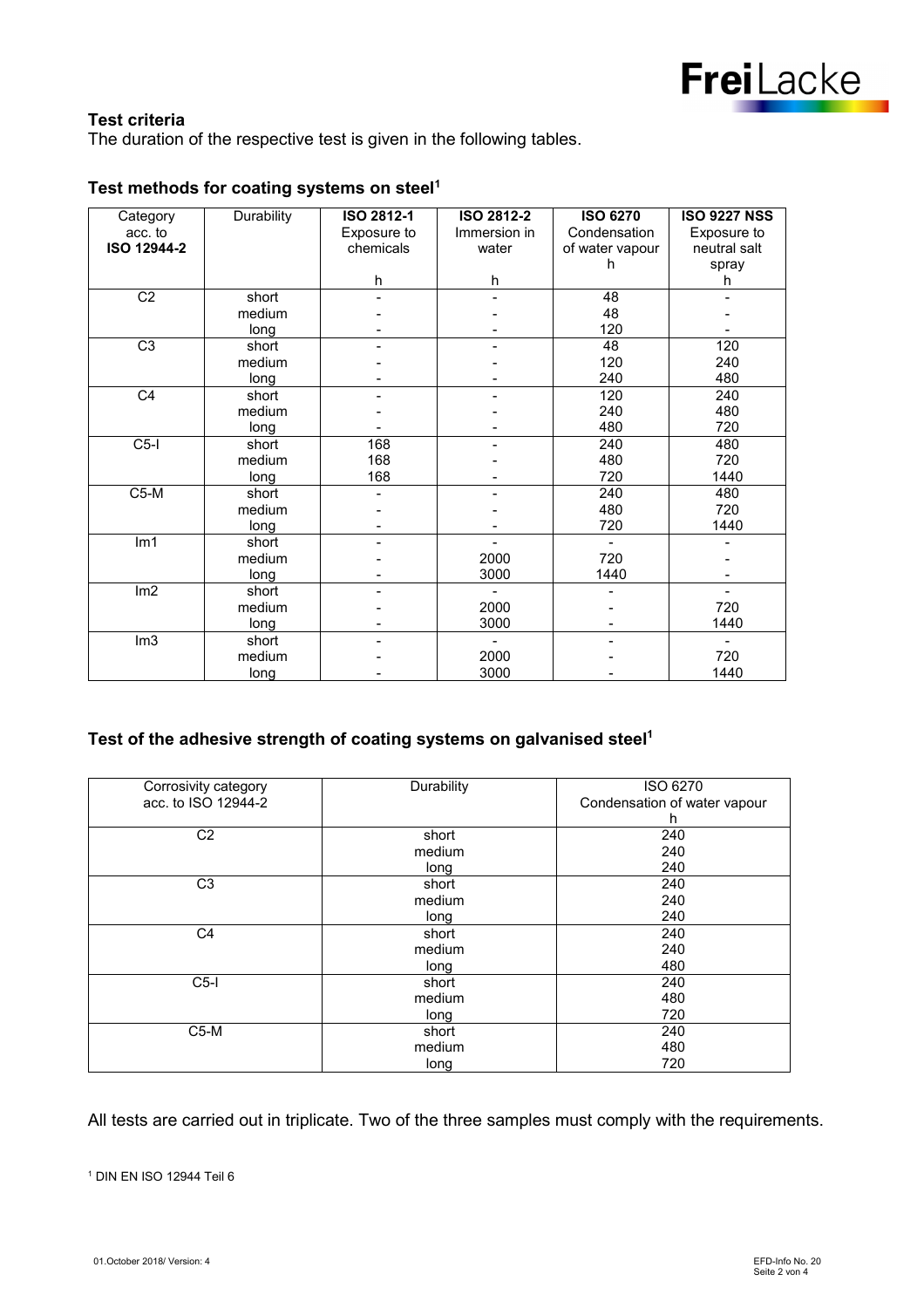

#### **Test criteria**

The duration of the respective test is given in the following tables.

| Category        | Durability | <b>ISO 2812-1</b> | ISO 2812-2   | <b>ISO 6270</b> | <b>ISO 9227 NSS</b>          |
|-----------------|------------|-------------------|--------------|-----------------|------------------------------|
| acc. to         |            | Exposure to       | Immersion in | Condensation    | Exposure to                  |
| ISO 12944-2     |            | chemicals         | water        | of water vapour | neutral salt                 |
|                 |            |                   |              | h               | spray                        |
|                 |            | h                 | h            |                 | h                            |
| $\overline{C2}$ | short      |                   |              | 48              |                              |
|                 | medium     |                   |              | 48              |                              |
|                 | long       |                   |              | 120             |                              |
| $\overline{C3}$ | short      |                   |              | 48              | 120                          |
|                 | medium     |                   |              | 120             | 240                          |
|                 | long       |                   |              | 240             | 480                          |
| C <sub>4</sub>  | short      |                   |              | 120             | 240                          |
|                 | medium     |                   |              | 240             | 480                          |
|                 | long       |                   |              | 480             | 720                          |
| $C5-I$          | short      | 168               |              | 240             | 480                          |
|                 | medium     | 168               |              | 480             | 720                          |
|                 | long       | 168               |              | 720             | 1440                         |
| $C5-M$          | short      |                   |              | 240             | 480                          |
|                 | medium     |                   |              | 480             | 720                          |
|                 | long       |                   |              | 720             | 1440                         |
| Im <sub>1</sub> | short      |                   |              |                 |                              |
|                 | medium     |                   | 2000         | 720             |                              |
|                 | long       |                   | 3000         | 1440            |                              |
| Im2             | short      |                   |              |                 |                              |
|                 | medium     |                   | 2000         |                 | 720                          |
|                 | long       |                   | 3000         |                 | 1440                         |
| Im3             | short      |                   |              |                 | $\qquad \qquad \blacksquare$ |
|                 | medium     |                   | 2000         |                 | 720                          |
|                 | long       |                   | 3000         |                 | 1440                         |

### **Test methods for coating systems on steel<sup>1</sup>**

#### **Test of the adhesive strength of coating systems on galvanised steel<sup>1</sup>**

| Corrosivity category | Durability | ISO 6270                     |
|----------------------|------------|------------------------------|
| acc. to ISO 12944-2  |            | Condensation of water vapour |
|                      |            | h                            |
| C <sub>2</sub>       | short      | 240                          |
|                      | medium     | 240                          |
|                      | long       | 240                          |
| C <sub>3</sub>       | short      | 240                          |
|                      | medium     | 240                          |
|                      | long       | 240                          |
| C <sub>4</sub>       | short      | 240                          |
|                      | medium     | 240                          |
|                      | long       | 480                          |
| $C5$ -I              | short      | 240                          |
|                      | medium     | 480                          |
|                      | long       | 720                          |
| $C5-M$               | short      | 240                          |
|                      | medium     | 480                          |
|                      | long       | 720                          |

All tests are carried out in triplicate. Two of the three samples must comply with the requirements.

1 DIN EN ISO 12944 Teil 6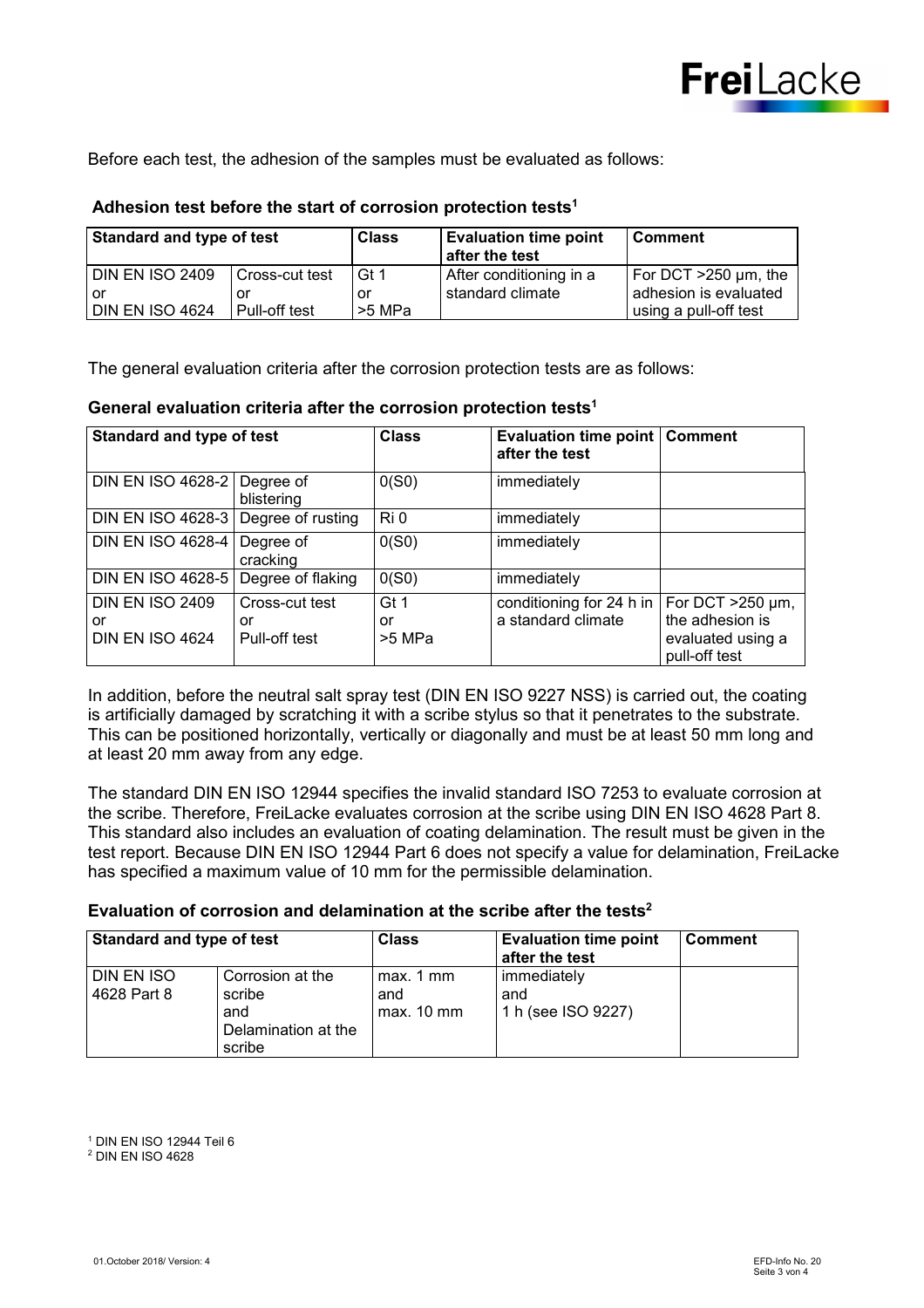

Before each test, the adhesion of the samples must be evaluated as follows:

#### **Adhesion test before the start of corrosion protection tests<sup>1</sup>**

| Standard and type of test |                | <b>Class</b> | <b>Evaluation time point</b><br>after the test | l Comment                  |
|---------------------------|----------------|--------------|------------------------------------------------|----------------------------|
| <b>DIN EN ISO 2409</b>    | Cross-cut test | Gt 1         | After conditioning in a                        | For DCT $>250 \mu m$ , the |
| or                        | or             | or           | standard climate                               | adhesion is evaluated      |
| <b>DIN EN ISO 4624</b>    | Pull-off test  | l >5 MPa     |                                                | using a pull-off test      |

The general evaluation criteria after the corrosion protection tests are as follows:

#### **General evaluation criteria after the corrosion protection tests<sup>1</sup>**

| <b>Standard and type of test</b>                       |                                       | <b>Class</b>         | <b>Evaluation time point   Comment</b><br>after the test |                                                                                 |
|--------------------------------------------------------|---------------------------------------|----------------------|----------------------------------------------------------|---------------------------------------------------------------------------------|
| DIN EN ISO 4628-2 Degree of                            | blistering                            | 0(S0)                | immediately                                              |                                                                                 |
| DIN EN ISO 4628-3 Degree of rusting                    |                                       | Ri 0                 | immediately                                              |                                                                                 |
| DIN EN ISO 4628-4                                      | Degree of<br>cracking                 | 0(S0)                | immediately                                              |                                                                                 |
| DIN EN ISO 4628-5   Degree of flaking                  |                                       | 0(S0)                | immediately                                              |                                                                                 |
| <b>DIN EN ISO 2409</b><br>or<br><b>DIN EN ISO 4624</b> | Cross-cut test<br>or<br>Pull-off test | Gt 1<br>or<br>>5 MPa | conditioning for 24 h in<br>a standard climate           | For DCT $>250 \mu m$ ,<br>the adhesion is<br>evaluated using a<br>pull-off test |

In addition, before the neutral salt spray test (DIN EN ISO 9227 NSS) is carried out, the coating is artificially damaged by scratching it with a scribe stylus so that it penetrates to the substrate. This can be positioned horizontally, vertically or diagonally and must be at least 50 mm long and at least 20 mm away from any edge.

The standard DIN EN ISO 12944 specifies the invalid standard ISO 7253 to evaluate corrosion at the scribe. Therefore, FreiLacke evaluates corrosion at the scribe using DIN EN ISO 4628 Part 8. This standard also includes an evaluation of coating delamination. The result must be given in the test report. Because DIN EN ISO 12944 Part 6 does not specify a value for delamination, FreiLacke has specified a maximum value of 10 mm for the permissible delamination.

#### **Evaluation of corrosion and delamination at the scribe after the tests<sup>2</sup>**

| <b>Standard and type of test</b> |                                                                    | <b>Class</b>                     | <b>Evaluation time point</b><br>after the test | <b>Comment</b> |
|----------------------------------|--------------------------------------------------------------------|----------------------------------|------------------------------------------------|----------------|
| DIN EN ISO<br>4628 Part 8        | Corrosion at the<br>scribe<br>and<br>Delamination at the<br>scribe | max. 1 mm<br>and<br>$max. 10$ mm | immediately<br>and<br>1 h (see ISO 9227)       |                |

<sup>1</sup> DIN EN ISO 12944 Teil 6

<sup>2</sup> DIN EN ISO 4628